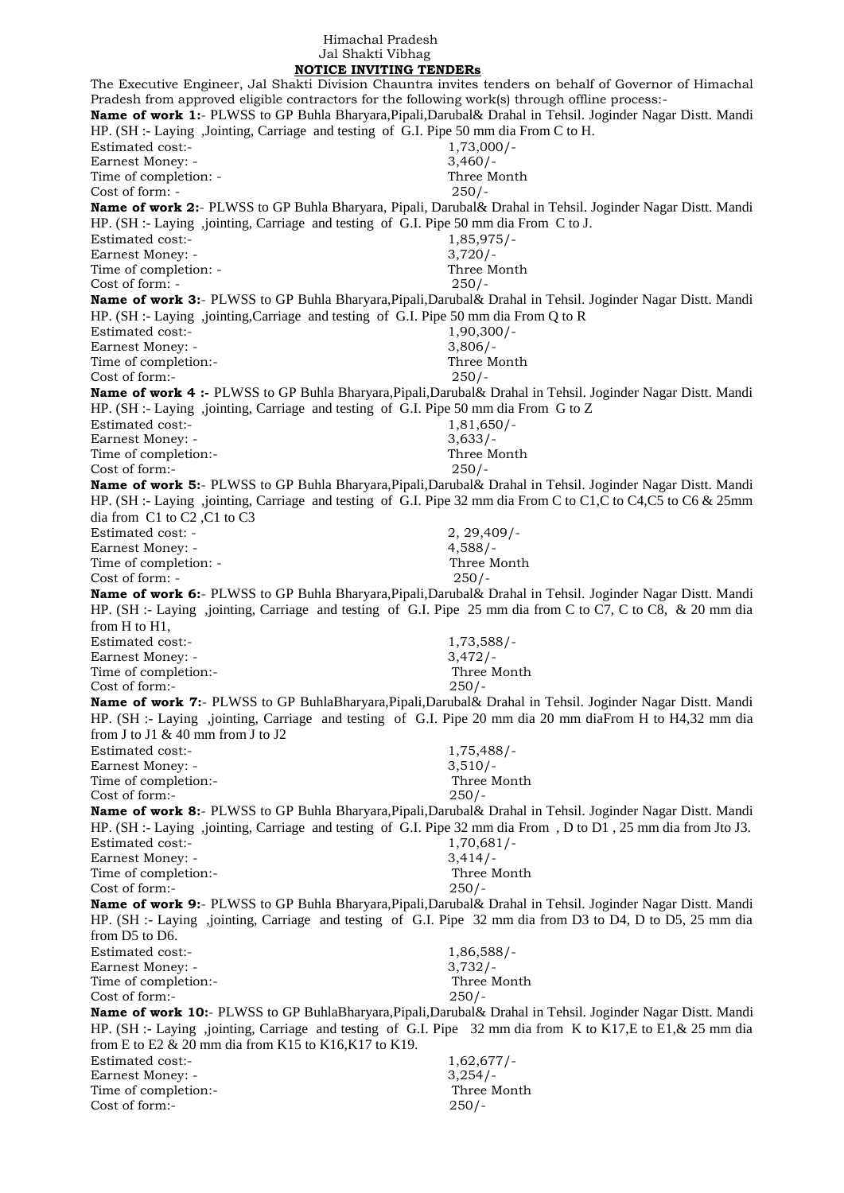## Himachal Pradesh Jal Shakti Vibhag

 **NOTICE INVITING TENDERs** The Executive Engineer, Jal Shakti Division Chauntra invites tenders on behalf of Governor of Himachal Pradesh from approved eligible contractors for the following work(s) through offline process:- **Name of work 1:**- PLWSS to GP Buhla Bharyara,Pipali,Darubal& Drahal in Tehsil. Joginder Nagar Distt. Mandi HP. (SH :- Laying ,Jointing, Carriage and testing of G.I. Pipe 50 mm dia From C to H. Estimated cost:- 1,73,000/-Earnest Money: - 3,460/-Time of completion: - Three Month Cost of form: - 250/-**Name of work 2:**- PLWSS to GP Buhla Bharyara, Pipali, Darubal& Drahal in Tehsil. Joginder Nagar Distt. Mandi HP. (SH :- Laying ,jointing, Carriage and testing of G.I. Pipe 50 mm dia From C to J. Estimated cost:- 1,85,975/- Earnest Money: - 3,720/-Time of completion: - Three Month Cost of form: - 250/- **Name of work 3:**- PLWSS to GP Buhla Bharyara,Pipali,Darubal& Drahal in Tehsil. Joginder Nagar Distt. Mandi HP. (SH :- Laying ,jointing,Carriage and testing of G.I. Pipe 50 mm dia From Q to R Estimated cost:- 1,90,300/-Earnest Money: - 3,806/-Time of completion:- Three Month Cost of form:- 250/- **Name of work 4 :-** PLWSS to GP Buhla Bharyara,Pipali,Darubal& Drahal in Tehsil. Joginder Nagar Distt. Mandi HP. (SH :- Laying ,jointing, Carriage and testing of G.I. Pipe 50 mm dia From G to Z Estimated cost:- 1,81,650/-Earnest Money: - 3,633/-Time of completion:- Three Month Cost of form:- 250/- **Name of work 5:**- PLWSS to GP Buhla Bharyara,Pipali,Darubal& Drahal in Tehsil. Joginder Nagar Distt. Mandi HP. (SH :- Laying ,jointing, Carriage and testing of G.I. Pipe 32 mm dia From C to C1,C to C4,C5 to C6 & 25mm dia from C1 to C2 ,C1 to C3 Estimated cost: - 2, 29,409/-Earnest Money: - 4,588/-Time of completion: - Three Month Cost of form: - 250/- **Name of work 6:**- PLWSS to GP Buhla Bharyara,Pipali,Darubal& Drahal in Tehsil. Joginder Nagar Distt. Mandi HP. (SH :- Laying ,jointing, Carriage and testing of G.I. Pipe 25 mm dia from C to C7, C to C8, & 20 mm dia from H to H1, Estimated cost:- 1,73,588/- Earnest Money: - 3,472/-Time of completion:- Three Month Cost of form:- 250/- **Name of work 7:**- PLWSS to GP BuhlaBharyara,Pipali,Darubal& Drahal in Tehsil. Joginder Nagar Distt. Mandi HP. (SH :- Laying ,jointing, Carriage and testing of G.I. Pipe 20 mm dia 20 mm diaFrom H to H4,32 mm dia from J to J1 & 40 mm from J to J2 Estimated cost:- 1,75,488/-Earnest Money: - 3,510/-Time of completion:- Three Month Cost of form:- 250/- **Name of work 8:**- PLWSS to GP Buhla Bharyara,Pipali,Darubal& Drahal in Tehsil. Joginder Nagar Distt. Mandi HP. (SH :- Laying ,jointing, Carriage and testing of G.I. Pipe 32 mm dia From , D to D1 , 25 mm dia from Jto J3. Estimated cost:- 1,70,681/-Earnest Money: - 3,414/-Time of completion:- Three Month Cost of form:- 250/- **Name of work 9:**- PLWSS to GP Buhla Bharyara,Pipali,Darubal& Drahal in Tehsil. Joginder Nagar Distt. Mandi HP. (SH :- Laying ,jointing, Carriage and testing of G.I. Pipe 32 mm dia from D3 to D4, D to D5, 25 mm dia from D5 to D6. Estimated cost:- 1,86,588/-Earnest Money: - 3,732/-Time of completion:- Three Month Cost of form:- 250/- **Name of work 10:**- PLWSS to GP BuhlaBharyara,Pipali,Darubal& Drahal in Tehsil. Joginder Nagar Distt. Mandi HP. (SH :- Laying ,jointing, Carriage and testing of G.I. Pipe 32 mm dia from K to K17,E to E1,& 25 mm dia from E to E2 & 20 mm dia from K15 to K16,K17 to K19. Estimated cost:- 1,62,677/- Earnest Money: - 3,254/-Time of completion:- Three Month

Cost of form:- 250/-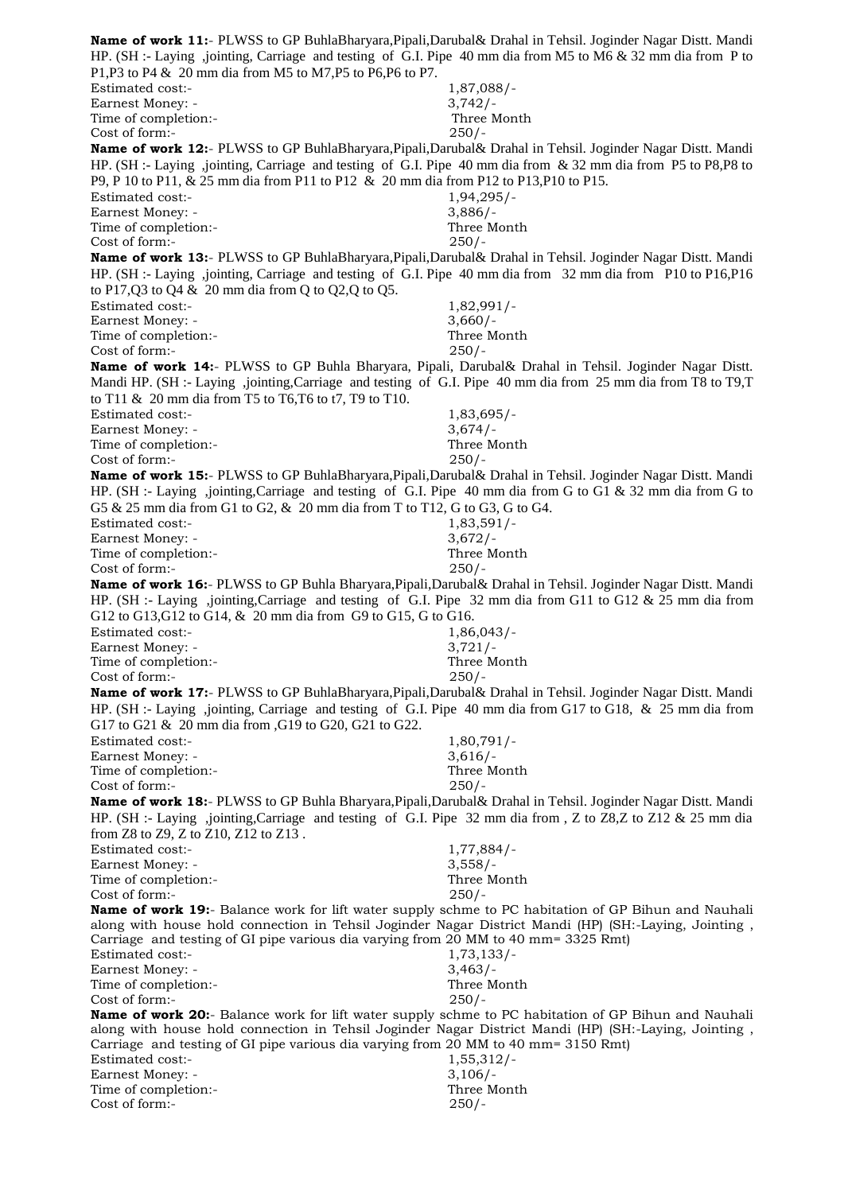| P1,P3 to P4 & 20 mm dia from M5 to M7,P5 to P6,P6 to P7.                                                                                                                                                                                                                                                                                                                                                                                                                                                                                                                                                          |                                                                                                                                                                                                                                                                                                                                                                                                                                                                                                                                                                                                                                                                                                                                                                                                                                                                                                                                                                                                                                                                                                                                                  |
|-------------------------------------------------------------------------------------------------------------------------------------------------------------------------------------------------------------------------------------------------------------------------------------------------------------------------------------------------------------------------------------------------------------------------------------------------------------------------------------------------------------------------------------------------------------------------------------------------------------------|--------------------------------------------------------------------------------------------------------------------------------------------------------------------------------------------------------------------------------------------------------------------------------------------------------------------------------------------------------------------------------------------------------------------------------------------------------------------------------------------------------------------------------------------------------------------------------------------------------------------------------------------------------------------------------------------------------------------------------------------------------------------------------------------------------------------------------------------------------------------------------------------------------------------------------------------------------------------------------------------------------------------------------------------------------------------------------------------------------------------------------------------------|
| <b>Estimated cost:-</b>                                                                                                                                                                                                                                                                                                                                                                                                                                                                                                                                                                                           | $1,87,088/-$                                                                                                                                                                                                                                                                                                                                                                                                                                                                                                                                                                                                                                                                                                                                                                                                                                                                                                                                                                                                                                                                                                                                     |
| Earnest Money: -                                                                                                                                                                                                                                                                                                                                                                                                                                                                                                                                                                                                  | $3,742/-$                                                                                                                                                                                                                                                                                                                                                                                                                                                                                                                                                                                                                                                                                                                                                                                                                                                                                                                                                                                                                                                                                                                                        |
| Time of completion:-<br>Cost of form:-                                                                                                                                                                                                                                                                                                                                                                                                                                                                                                                                                                            | Three Month<br>$250/-$                                                                                                                                                                                                                                                                                                                                                                                                                                                                                                                                                                                                                                                                                                                                                                                                                                                                                                                                                                                                                                                                                                                           |
|                                                                                                                                                                                                                                                                                                                                                                                                                                                                                                                                                                                                                   | Name of work 12:- PLWSS to GP BuhlaBharyara, Pipali, Darubal& Drahal in Tehsil. Joginder Nagar Distt. Mandi                                                                                                                                                                                                                                                                                                                                                                                                                                                                                                                                                                                                                                                                                                                                                                                                                                                                                                                                                                                                                                      |
| P9, P 10 to P11, & 25 mm dia from P11 to P12 & 20 mm dia from P12 to P13, P10 to P15.                                                                                                                                                                                                                                                                                                                                                                                                                                                                                                                             | HP. (SH :- Laying, jointing, Carriage and testing of G.I. Pipe 40 mm dia from $\&$ 32 mm dia from P5 to P8,P8 to                                                                                                                                                                                                                                                                                                                                                                                                                                                                                                                                                                                                                                                                                                                                                                                                                                                                                                                                                                                                                                 |
| <b>Estimated cost:-</b>                                                                                                                                                                                                                                                                                                                                                                                                                                                                                                                                                                                           | $1,94,295/-$                                                                                                                                                                                                                                                                                                                                                                                                                                                                                                                                                                                                                                                                                                                                                                                                                                                                                                                                                                                                                                                                                                                                     |
| Earnest Money: -                                                                                                                                                                                                                                                                                                                                                                                                                                                                                                                                                                                                  | $3,886/-$                                                                                                                                                                                                                                                                                                                                                                                                                                                                                                                                                                                                                                                                                                                                                                                                                                                                                                                                                                                                                                                                                                                                        |
| Time of completion:-                                                                                                                                                                                                                                                                                                                                                                                                                                                                                                                                                                                              | Three Month                                                                                                                                                                                                                                                                                                                                                                                                                                                                                                                                                                                                                                                                                                                                                                                                                                                                                                                                                                                                                                                                                                                                      |
| Cost of form:-                                                                                                                                                                                                                                                                                                                                                                                                                                                                                                                                                                                                    | $250/-$                                                                                                                                                                                                                                                                                                                                                                                                                                                                                                                                                                                                                                                                                                                                                                                                                                                                                                                                                                                                                                                                                                                                          |
| to P17, Q3 to Q4 & 20 mm dia from Q to Q2, Q to Q5.                                                                                                                                                                                                                                                                                                                                                                                                                                                                                                                                                               | Name of work 13:- PLWSS to GP BuhlaBharyara, Pipali, Darubal& Drahal in Tehsil. Joginder Nagar Distt. Mandi<br>HP. (SH :- Laying ,jointing, Carriage and testing of G.I. Pipe 40 mm dia from 32 mm dia from P10 to P16,P16                                                                                                                                                                                                                                                                                                                                                                                                                                                                                                                                                                                                                                                                                                                                                                                                                                                                                                                       |
| <b>Estimated cost:-</b>                                                                                                                                                                                                                                                                                                                                                                                                                                                                                                                                                                                           | $1,82,991/-$                                                                                                                                                                                                                                                                                                                                                                                                                                                                                                                                                                                                                                                                                                                                                                                                                                                                                                                                                                                                                                                                                                                                     |
| Earnest Money: -                                                                                                                                                                                                                                                                                                                                                                                                                                                                                                                                                                                                  | $3,660/-$                                                                                                                                                                                                                                                                                                                                                                                                                                                                                                                                                                                                                                                                                                                                                                                                                                                                                                                                                                                                                                                                                                                                        |
| Time of completion:-                                                                                                                                                                                                                                                                                                                                                                                                                                                                                                                                                                                              | Three Month                                                                                                                                                                                                                                                                                                                                                                                                                                                                                                                                                                                                                                                                                                                                                                                                                                                                                                                                                                                                                                                                                                                                      |
| Cost of form:-                                                                                                                                                                                                                                                                                                                                                                                                                                                                                                                                                                                                    | $250/-$                                                                                                                                                                                                                                                                                                                                                                                                                                                                                                                                                                                                                                                                                                                                                                                                                                                                                                                                                                                                                                                                                                                                          |
| to T11 & 20 mm dia from T5 to T6, T6 to t7, T9 to T10.                                                                                                                                                                                                                                                                                                                                                                                                                                                                                                                                                            | Name of work 14:- PLWSS to GP Buhla Bharyara, Pipali, Darubal& Drahal in Tehsil. Joginder Nagar Distt.<br>Mandi HP. (SH :- Laying, jointing, Carriage and testing of G.I. Pipe 40 mm dia from 25 mm dia from T8 to T9, T                                                                                                                                                                                                                                                                                                                                                                                                                                                                                                                                                                                                                                                                                                                                                                                                                                                                                                                         |
| Estimated cost:-                                                                                                                                                                                                                                                                                                                                                                                                                                                                                                                                                                                                  | $1,83,695/-$                                                                                                                                                                                                                                                                                                                                                                                                                                                                                                                                                                                                                                                                                                                                                                                                                                                                                                                                                                                                                                                                                                                                     |
| Earnest Money: -<br>Time of completion:-                                                                                                                                                                                                                                                                                                                                                                                                                                                                                                                                                                          | $3,674/-$<br>Three Month                                                                                                                                                                                                                                                                                                                                                                                                                                                                                                                                                                                                                                                                                                                                                                                                                                                                                                                                                                                                                                                                                                                         |
| Cost of form:-                                                                                                                                                                                                                                                                                                                                                                                                                                                                                                                                                                                                    | $250/-$                                                                                                                                                                                                                                                                                                                                                                                                                                                                                                                                                                                                                                                                                                                                                                                                                                                                                                                                                                                                                                                                                                                                          |
|                                                                                                                                                                                                                                                                                                                                                                                                                                                                                                                                                                                                                   | Name of work 15:- PLWSS to GP BuhlaBharyara, Pipali, Darubal& Drahal in Tehsil. Joginder Nagar Distt. Mandi                                                                                                                                                                                                                                                                                                                                                                                                                                                                                                                                                                                                                                                                                                                                                                                                                                                                                                                                                                                                                                      |
|                                                                                                                                                                                                                                                                                                                                                                                                                                                                                                                                                                                                                   | HP. (SH :- Laying, jointing, Carriage and testing of G.I. Pipe 40 mm dia from G to G1 & 32 mm dia from G to                                                                                                                                                                                                                                                                                                                                                                                                                                                                                                                                                                                                                                                                                                                                                                                                                                                                                                                                                                                                                                      |
| G5 & 25 mm dia from G1 to G2, & 20 mm dia from T to T12, G to G3, G to G4.                                                                                                                                                                                                                                                                                                                                                                                                                                                                                                                                        |                                                                                                                                                                                                                                                                                                                                                                                                                                                                                                                                                                                                                                                                                                                                                                                                                                                                                                                                                                                                                                                                                                                                                  |
| <b>Estimated cost:-</b>                                                                                                                                                                                                                                                                                                                                                                                                                                                                                                                                                                                           | $1,83,591/-$                                                                                                                                                                                                                                                                                                                                                                                                                                                                                                                                                                                                                                                                                                                                                                                                                                                                                                                                                                                                                                                                                                                                     |
| Earnest Money: -                                                                                                                                                                                                                                                                                                                                                                                                                                                                                                                                                                                                  | $3,672/-$                                                                                                                                                                                                                                                                                                                                                                                                                                                                                                                                                                                                                                                                                                                                                                                                                                                                                                                                                                                                                                                                                                                                        |
| Time of completion:-                                                                                                                                                                                                                                                                                                                                                                                                                                                                                                                                                                                              | Three Month                                                                                                                                                                                                                                                                                                                                                                                                                                                                                                                                                                                                                                                                                                                                                                                                                                                                                                                                                                                                                                                                                                                                      |
| Cost of form:-                                                                                                                                                                                                                                                                                                                                                                                                                                                                                                                                                                                                    |                                                                                                                                                                                                                                                                                                                                                                                                                                                                                                                                                                                                                                                                                                                                                                                                                                                                                                                                                                                                                                                                                                                                                  |
|                                                                                                                                                                                                                                                                                                                                                                                                                                                                                                                                                                                                                   | $250/-$                                                                                                                                                                                                                                                                                                                                                                                                                                                                                                                                                                                                                                                                                                                                                                                                                                                                                                                                                                                                                                                                                                                                          |
|                                                                                                                                                                                                                                                                                                                                                                                                                                                                                                                                                                                                                   |                                                                                                                                                                                                                                                                                                                                                                                                                                                                                                                                                                                                                                                                                                                                                                                                                                                                                                                                                                                                                                                                                                                                                  |
| G12 to G13, G12 to G14, & 20 mm dia from G9 to G15, G to G16.<br>Estimated cost:-                                                                                                                                                                                                                                                                                                                                                                                                                                                                                                                                 | 1,86,043/                                                                                                                                                                                                                                                                                                                                                                                                                                                                                                                                                                                                                                                                                                                                                                                                                                                                                                                                                                                                                                                                                                                                        |
| Earnest Money: -                                                                                                                                                                                                                                                                                                                                                                                                                                                                                                                                                                                                  | $3,721/-$                                                                                                                                                                                                                                                                                                                                                                                                                                                                                                                                                                                                                                                                                                                                                                                                                                                                                                                                                                                                                                                                                                                                        |
| Time of completion:-                                                                                                                                                                                                                                                                                                                                                                                                                                                                                                                                                                                              | Three Month                                                                                                                                                                                                                                                                                                                                                                                                                                                                                                                                                                                                                                                                                                                                                                                                                                                                                                                                                                                                                                                                                                                                      |
|                                                                                                                                                                                                                                                                                                                                                                                                                                                                                                                                                                                                                   | $250/-$                                                                                                                                                                                                                                                                                                                                                                                                                                                                                                                                                                                                                                                                                                                                                                                                                                                                                                                                                                                                                                                                                                                                          |
|                                                                                                                                                                                                                                                                                                                                                                                                                                                                                                                                                                                                                   | $1,80,791/-$                                                                                                                                                                                                                                                                                                                                                                                                                                                                                                                                                                                                                                                                                                                                                                                                                                                                                                                                                                                                                                                                                                                                     |
|                                                                                                                                                                                                                                                                                                                                                                                                                                                                                                                                                                                                                   | $3,616/-$                                                                                                                                                                                                                                                                                                                                                                                                                                                                                                                                                                                                                                                                                                                                                                                                                                                                                                                                                                                                                                                                                                                                        |
|                                                                                                                                                                                                                                                                                                                                                                                                                                                                                                                                                                                                                   | Three Month                                                                                                                                                                                                                                                                                                                                                                                                                                                                                                                                                                                                                                                                                                                                                                                                                                                                                                                                                                                                                                                                                                                                      |
|                                                                                                                                                                                                                                                                                                                                                                                                                                                                                                                                                                                                                   | $250/-$                                                                                                                                                                                                                                                                                                                                                                                                                                                                                                                                                                                                                                                                                                                                                                                                                                                                                                                                                                                                                                                                                                                                          |
|                                                                                                                                                                                                                                                                                                                                                                                                                                                                                                                                                                                                                   |                                                                                                                                                                                                                                                                                                                                                                                                                                                                                                                                                                                                                                                                                                                                                                                                                                                                                                                                                                                                                                                                                                                                                  |
|                                                                                                                                                                                                                                                                                                                                                                                                                                                                                                                                                                                                                   | $1,77,884/-$                                                                                                                                                                                                                                                                                                                                                                                                                                                                                                                                                                                                                                                                                                                                                                                                                                                                                                                                                                                                                                                                                                                                     |
|                                                                                                                                                                                                                                                                                                                                                                                                                                                                                                                                                                                                                   | $3,558/-$                                                                                                                                                                                                                                                                                                                                                                                                                                                                                                                                                                                                                                                                                                                                                                                                                                                                                                                                                                                                                                                                                                                                        |
|                                                                                                                                                                                                                                                                                                                                                                                                                                                                                                                                                                                                                   | Three Month                                                                                                                                                                                                                                                                                                                                                                                                                                                                                                                                                                                                                                                                                                                                                                                                                                                                                                                                                                                                                                                                                                                                      |
|                                                                                                                                                                                                                                                                                                                                                                                                                                                                                                                                                                                                                   | $250/-$                                                                                                                                                                                                                                                                                                                                                                                                                                                                                                                                                                                                                                                                                                                                                                                                                                                                                                                                                                                                                                                                                                                                          |
|                                                                                                                                                                                                                                                                                                                                                                                                                                                                                                                                                                                                                   | $1,73,133/-$                                                                                                                                                                                                                                                                                                                                                                                                                                                                                                                                                                                                                                                                                                                                                                                                                                                                                                                                                                                                                                                                                                                                     |
|                                                                                                                                                                                                                                                                                                                                                                                                                                                                                                                                                                                                                   | $3,463/-$                                                                                                                                                                                                                                                                                                                                                                                                                                                                                                                                                                                                                                                                                                                                                                                                                                                                                                                                                                                                                                                                                                                                        |
| Estimated cost:-                                                                                                                                                                                                                                                                                                                                                                                                                                                                                                                                                                                                  | Three Month                                                                                                                                                                                                                                                                                                                                                                                                                                                                                                                                                                                                                                                                                                                                                                                                                                                                                                                                                                                                                                                                                                                                      |
|                                                                                                                                                                                                                                                                                                                                                                                                                                                                                                                                                                                                                   | $250/-$                                                                                                                                                                                                                                                                                                                                                                                                                                                                                                                                                                                                                                                                                                                                                                                                                                                                                                                                                                                                                                                                                                                                          |
|                                                                                                                                                                                                                                                                                                                                                                                                                                                                                                                                                                                                                   |                                                                                                                                                                                                                                                                                                                                                                                                                                                                                                                                                                                                                                                                                                                                                                                                                                                                                                                                                                                                                                                                                                                                                  |
|                                                                                                                                                                                                                                                                                                                                                                                                                                                                                                                                                                                                                   | $1,55,312/-$                                                                                                                                                                                                                                                                                                                                                                                                                                                                                                                                                                                                                                                                                                                                                                                                                                                                                                                                                                                                                                                                                                                                     |
| Cost of form:-<br>G17 to G21 & 20 mm dia from ,G19 to G20, G21 to G22.<br><b>Estimated cost:-</b><br>Earnest Money: -<br>Time of completion:-<br>Cost of form:-<br>from Z8 to Z9, Z to Z10, Z12 to Z13.<br><b>Estimated cost:-</b><br>Earnest Money: -<br>Time of completion:-<br>Cost of form:-<br>Carriage and testing of GI pipe various dia varying from 20 MM to 40 mm= 3325 Rmt)<br>Earnest Money: -<br>Time of completion:-<br>Cost of form:-<br>Carriage and testing of GI pipe various dia varying from 20 MM to 40 mm= 3150 Rmt)<br><b>Estimated cost:-</b><br>Earnest Money: -<br>Time of completion:- | Name of work 16:- PLWSS to GP Buhla Bharyara, Pipali, Darubal& Drahal in Tehsil. Joginder Nagar Distt. Mandi<br>HP. (SH :- Laying .jointing, Carriage and testing of G.I. Pipe 32 mm dia from G11 to G12 & 25 mm dia from<br>Name of work 17:- PLWSS to GP BuhlaBharyara, Pipali, Darubal& Drahal in Tehsil. Joginder Nagar Distt. Mandi<br>HP. (SH :- Laying, jointing, Carriage and testing of G.I. Pipe 40 mm dia from G17 to G18, & 25 mm dia from<br>Name of work 18:- PLWSS to GP Buhla Bharyara, Pipali, Darubal& Drahal in Tehsil. Joginder Nagar Distt. Mandi<br>HP. (SH :- Laying, jointing, Carriage and testing of G.I. Pipe 32 mm dia from, Z to Z8, Z to Z12 & 25 mm dia<br>Name of work 19:- Balance work for lift water supply schme to PC habitation of GP Bihun and Nauhali<br>along with house hold connection in Tehsil Joginder Nagar District Mandi (HP) (SH:-Laying, Jointing,<br>Name of work 20:- Balance work for lift water supply schme to PC habitation of GP Bihun and Nauhali<br>along with house hold connection in Tehsil Joginder Nagar District Mandi (HP) (SH:-Laying, Jointing,<br>$3,106/-$<br>Three Month |